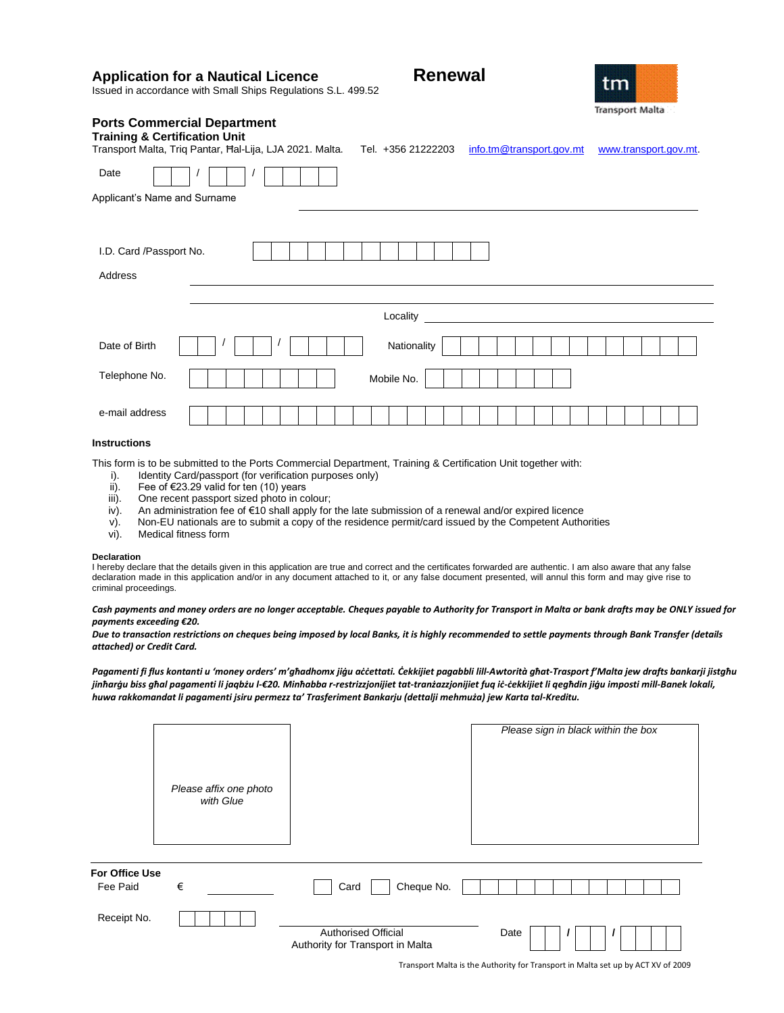| <b>Application for a Nautical Licence</b><br>Issued in accordance with Small Ships Regulations S.L. 499.52                                 | <b>Renewal</b><br>tm<br><b>Transport Malta</b>                          |
|--------------------------------------------------------------------------------------------------------------------------------------------|-------------------------------------------------------------------------|
| <b>Ports Commercial Department</b><br><b>Training &amp; Certification Unit</b><br>Transport Malta, Triq Pantar, Hal-Lija, LJA 2021. Malta. | Tel. +356 21222203<br>info.tm@transport.gov.mt<br>www.transport.gov.mt. |
| Date<br>Applicant's Name and Surname                                                                                                       |                                                                         |
| I.D. Card /Passport No.<br>Address                                                                                                         |                                                                         |
|                                                                                                                                            | Locality                                                                |
| Date of Birth                                                                                                                              | Nationality                                                             |
| Telephone No.                                                                                                                              | Mobile No.                                                              |
| e-mail address                                                                                                                             |                                                                         |

# **Instructions**

This form is to be submitted to the Ports Commercial Department, Training & Certification Unit together with:

- i). Identity Card/passport (for verification purposes only) ii). Fee of  $\epsilon$ 23.29 valid for ten (10) years
- 
- ii). Fee of €23.29 valid for ten (10) years<br>iii). One recent passport sized photo in co One recent passport sized photo in colour;
- iv). An administration fee of €10 shall apply for the late submission of a renewal and/or expired licence
- v). Non-EU nationals are to submit a copy of the residence permit/card issued by the Competent Authorities vi). Medical fitness form
- Medical fitness form

#### **Declaration**

I hereby declare that the details given in this application are true and correct and the certificates forwarded are authentic. I am also aware that any false declaration made in this application and/or in any document attached to it, or any false document presented, will annul this form and may give rise to criminal proceedings.

*Cash payments and money orders are no longer acceptable. Cheques payable to Authority for Transport in Malta or bank drafts may be ONLY issued for payments exceeding €20.* 

*Due to transaction restrictions on cheques being imposed by local Banks, it is highly recommended to settle payments through Bank Transfer (details attached) or Credit Card.*

*Pagamenti fi flus kontanti u 'money orders' m'għadhomx jiġu aċċettati. Ċekkijiet pagabbli lill-Awtorità għat-Trasport f'Malta jew drafts bankarji jistgħu jinħarġu biss għal pagamenti li jaqbżu l-€20. Minħabba r-restrizzjonijiet tat-tranżazzjonijiet fuq iċ-ċekkijiet li qegħdin jiġu imposti mill-Banek lokali, huwa rakkomandat li pagamenti jsiru permezz ta' Trasferiment Bankarju (dettalji mehmuża) jew Karta tal-Kreditu.*

|                            | Please affix one photo<br>with Glue |                                                                | Please sign in black within the box   |
|----------------------------|-------------------------------------|----------------------------------------------------------------|---------------------------------------|
| For Office Use<br>Fee Paid | €                                   | Cheque No.<br>Card                                             |                                       |
| Receipt No.                |                                     | <b>Authorised Official</b><br>Authority for Transport in Malta | Date<br>$\overline{\phantom{a}}$<br>, |